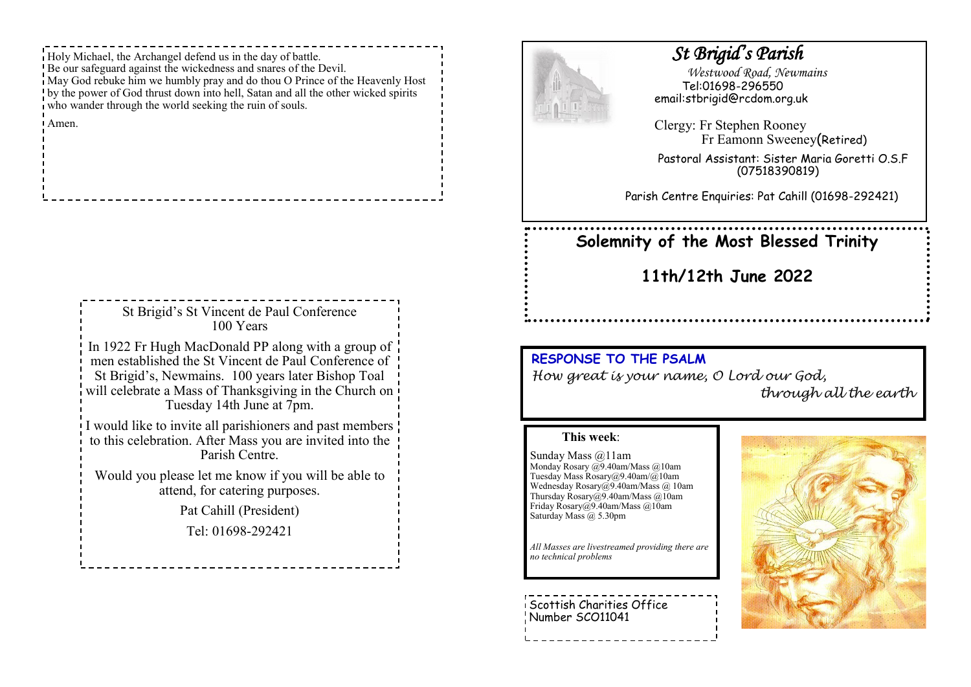Holy Michael, the Archangel defend us in the day of battle. Be our safeguard against the wickedness and snares of the Devil. May God rebuke him we humbly pray and do thou O Prince of the Heavenly Host by the power of God thrust down into hell, Satan and all the other wicked spirits who wander through the world seeking the ruin of souls.

Amen.

| St Brigid's St Vincent de Paul Conference<br>100 Years                                                                                                                                                                                                                |
|-----------------------------------------------------------------------------------------------------------------------------------------------------------------------------------------------------------------------------------------------------------------------|
| In 1922 Fr Hugh MacDonald PP along with a group of $\frac{1}{1}$<br>men established the St Vincent de Paul Conference of<br>St Brigid's, Newmains. 100 years later Bishop Toal<br>will celebrate a Mass of Thanksgiving in the Church on<br>Tuesday 14th June at 7pm. |
| I would like to invite all parishioners and past members !<br>to this celebration. After Mass you are invited into the<br>Parish Centre.                                                                                                                              |
| Would you please let me know if you will be able to<br>attend, for catering purposes.                                                                                                                                                                                 |
| Pat Cahill (President)                                                                                                                                                                                                                                                |
| Tel: 01698-292421                                                                                                                                                                                                                                                     |



## *St Brigid's Parish*

 *Westwood Road, Newmains* Tel:01698-296550 email:stbrigid@rcdom.org.uk

Clergy: Fr Stephen Rooney Fr Eamonn Sweeney(Retired)

Pastoral Assistant: Sister Maria Goretti O.S.F (07518390819)

Parish Centre Enquiries: Pat Cahill (01698-292421)

# **Solemnity of the Most Blessed Trinity**

**11th/12th June 2022**

#### **RESPONSE TO THE PSALM**

*How great is your name, O Lord our God, through all the earth*

#### **This week**:

Sunday Mass @11am Monday Rosary @9.40am/Mass @10am Tuesday Mass Rosary@9.40am/@10am Wednesday Rosary@9.40am/Mass @ 10am Thursday Rosary@9.40am/Mass @10am Friday Rosary@9.40am/Mass @10am Saturday Mass @ 5.30pm

*All Masses are livestreamed providing there are no technical problems*

Scottish Charities Office Number SCO11041